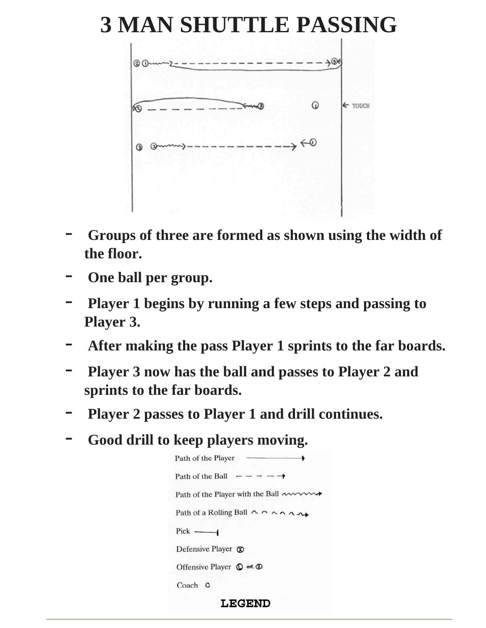#### **3 MAN SHUTTLE PASSING**



- **Groups of three are formed as shown using the width of the floor.**
- **One ball per group.**
- **Player 1 begins by running a few steps and passing to Player 3.**
- **After making the pass Player 1 sprints to the far boards.**
- **Player 3 now has the ball and passes to Player 2 and sprints to the far boards.**
- **Player 2 passes to Player 1 and drill continues.**
- **Good drill to keep players moving.**

| <b>LEGEND</b>                                                      |  |
|--------------------------------------------------------------------|--|
| Coach C                                                            |  |
| Offensive Player $\mathbb O$ or $\mathbb O$                        |  |
| Defensive Player $\circledR$                                       |  |
| $Pick$ ——                                                          |  |
| Path of a Rolling Ball $\wedge \wedge \wedge \wedge \wedge \wedge$ |  |
| Path of the Player with the Ball ~~~~~                             |  |
| Path of the Ball $- - - - \rightarrow$                             |  |
| Path of the Player -                                               |  |
|                                                                    |  |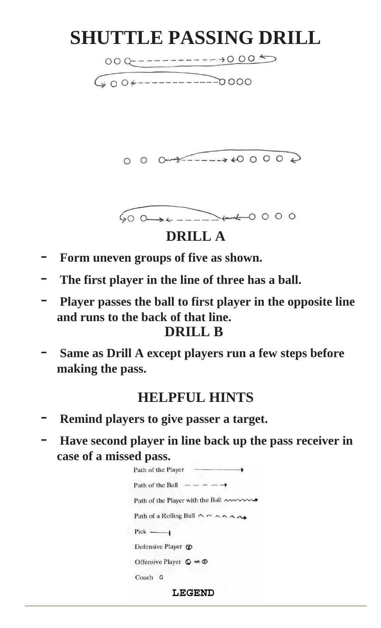## **SHUTTLE PASSING DRILL**

 $600 + 1 - 1000$ 

#### **DRILL A**

- **Form uneven groups of five as shown.**
- The first player in the line of three has a ball.
- **Player passes the ball to first player in the opposite line and runs to the back of that line.**

#### **DRILL B**

- **Same as Drill A except players run a few steps before making the pass.**

#### **HELPFUL HINTS**

- Remind players to give passer a target.
- **Have second player in line back up the pass receiver in case of a missed pass.**



**LEGEND**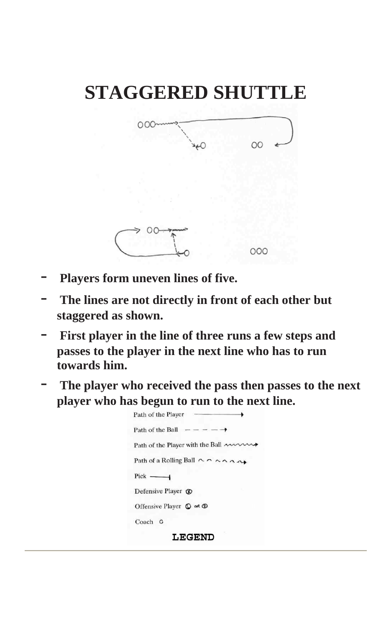# **STAGGERED SHUTTLE**



- **Players form uneven lines of five.**
- The lines are not directly in front of each other but **staggered as shown.**
- First player in the line of three runs a few steps and **passes to the player in the next line who has to run towards him.**
- The player who received the pass then passes to the next **player who has begun to run to the next line.**

| Path of the Player                                                 |
|--------------------------------------------------------------------|
| Path of the Ball $- - - - \rightarrow$                             |
| Path of the Player with the Ball $\sim$                            |
| Path of a Rolling Ball $\wedge \wedge \wedge \wedge \wedge \wedge$ |
| $Pick$ ——                                                          |
| Defensive Player $\circledR$                                       |
| Offensive Player $\mathbb O$ or $\mathbb O$                        |
| Coach C                                                            |
| <b>LEGEND</b>                                                      |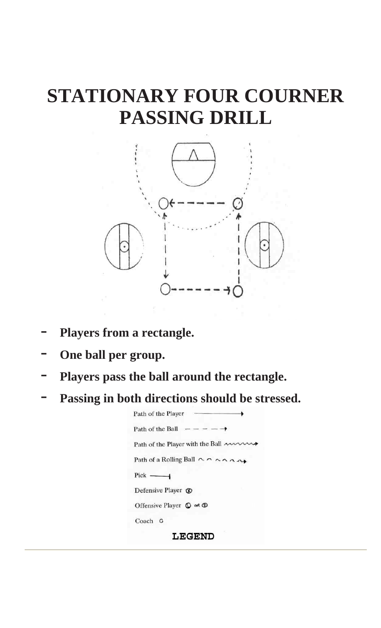## **STATIONARY FOUR COURNER PASSING DRILL**



- **Players from a rectangle.**
- **One ball per group.**
- **Players pass the ball around the rectangle.**
- Passing in both directions should be stressed.

| Path of the Player                                                 |
|--------------------------------------------------------------------|
| Path of the Ball $- - - - \rightarrow$                             |
| Path of the Player with the Ball ~~~~                              |
| Path of a Rolling Ball $\wedge \wedge \wedge \wedge \wedge \wedge$ |
| $Pick$ —                                                           |
| Defensive Player $\circledR$                                       |
| Offensive Player $\mathbb O$ or $\mathbb O$                        |
| Coach C                                                            |
| <b>LEGEND</b>                                                      |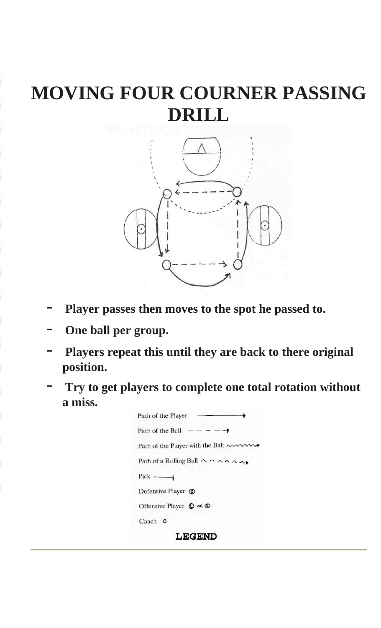## **MOVING FOUR COURNER PASSING DRILL**



- Player passes then moves to the spot he passed to.
- **One ball per group.**
- Players repeat this until they are back to there original **position.**
- **Try to get players to complete one total rotation without a miss.**

| Path of the Player                                                 |
|--------------------------------------------------------------------|
| Path of the Ball $- - - - \rightarrow$                             |
| Path of the Player with the Ball ~~~~~                             |
| Path of a Rolling Ball $\wedge \wedge \wedge \wedge \wedge \wedge$ |
| $Pick$ ——                                                          |
| Defensive Player $\circledR$                                       |
| Offensive Player $\mathbb O$ of $\mathbb O$                        |
| Coach C                                                            |
| <b>LEGEND</b>                                                      |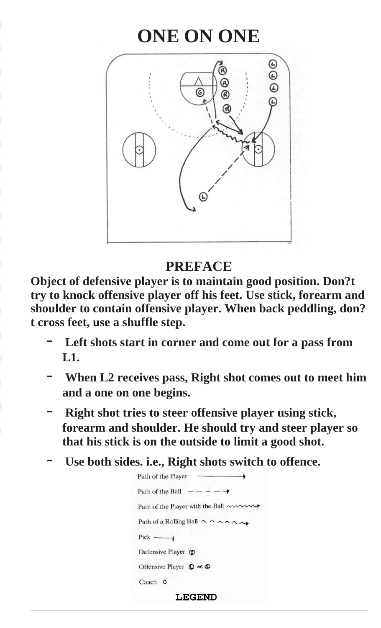### **ONE ON ONE**



#### **PREFACE**

**Object of defensive player is to maintain good position. Don?t try to knock offensive player off his feet. Use stick, forearm and shoulder to contain offensive player. When back peddling, don? t cross feet, use a shuffle step.** 

- Left shots start in corner and come out for a pass from **L1.**
- **When L2 receives pass, Right shot comes out to meet him and a one on one begins.**
- **Right shot tries to steer offensive player using stick, forearm and shoulder. He should try and steer player so that his stick is on the outside to limit a good shot.**
- Use both sides. i.e., Right shots switch to offence.

| Path of the Player                                                 |
|--------------------------------------------------------------------|
| Path of the Ball $- - - - \rightarrow$                             |
| Path of the Player with the Ball $\sim$                            |
| Path of a Rolling Ball $\wedge \wedge \wedge \wedge \wedge \wedge$ |
| $Pick$ ——                                                          |
| Defensive Player ®                                                 |
| Offensive Player $\mathbb O$ of $\mathbb O$                        |
| Coach C                                                            |
| <b>LEGEND</b>                                                      |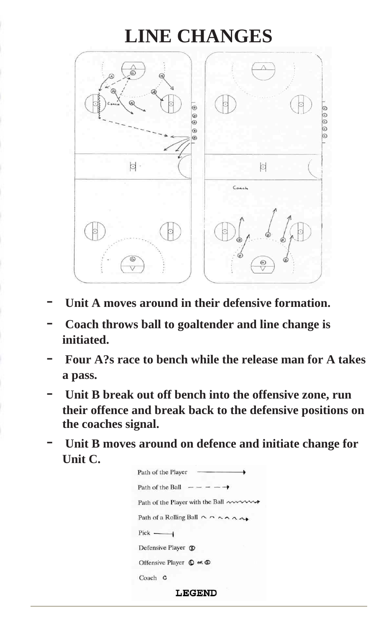### **LINE CHANGES**



- Unit A moves around in their defensive formation.
- **Coach throws ball to goaltender and line change is initiated.**
- **Four A?s race to bench while the release man for A takes a pass.**
- Unit B break out off bench into the offensive zone, run **their offence and break back to the defensive positions on the coaches signal.**
- Unit B moves around on defence and initiate change for **Unit C.**

| Path of the Player                                                 |
|--------------------------------------------------------------------|
| Path of the Ball $- - - - \rightarrow$                             |
| Path of the Player with the Ball $\sim$                            |
| Path of a Rolling Ball $\wedge \wedge \wedge \wedge \wedge \wedge$ |
| $Pick$ —                                                           |
| Defensive Player ®                                                 |
| Offensive Player $\mathbb O$ or $\mathbb O$                        |
| Coach C                                                            |
|                                                                    |

**LEGEND**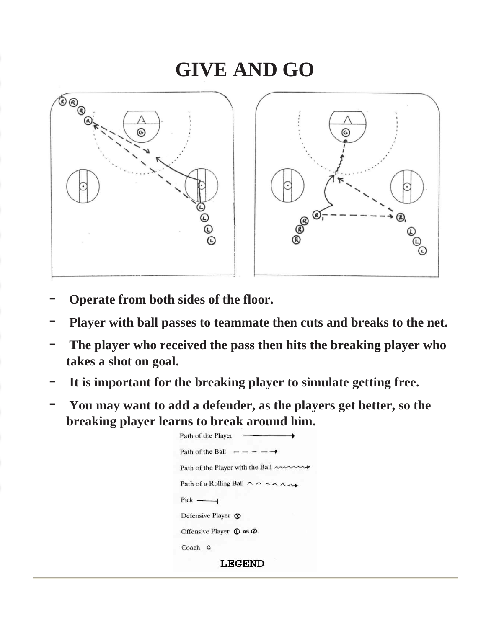### **GIVE AND GO**



- **Operate from both sides of the floor.**
- **Player with ball passes to teammate then cuts and breaks to the net.**
- The player who received the pass then hits the breaking player who **takes a shot on goal.**
- **It is important for the breaking player to simulate getting free.**
- **You may want to add a defender, as the players get better, so the breaking player learns to break around him.**

| Path of the Player                                                 |
|--------------------------------------------------------------------|
| Path of the Ball $- - - - \rightarrow$                             |
| Path of the Player with the Ball $\sim$                            |
| Path of a Rolling Ball $\wedge \wedge \wedge \wedge \wedge \wedge$ |
| $Pick$ ——                                                          |
| Defensive Player CO                                                |
| Offensive Player $\mathbb{O}$ or $\mathbb{O}$                      |
| Coach C                                                            |
| LECEND                                                             |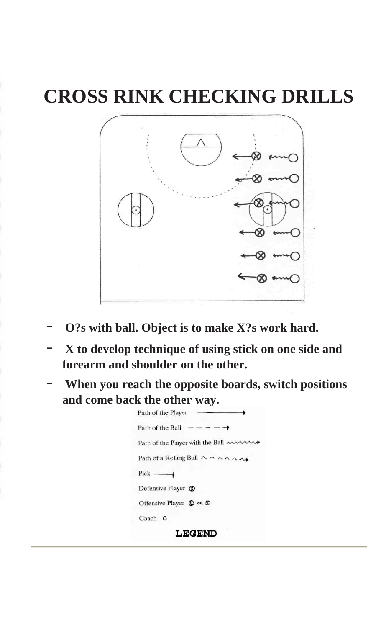# **CROSS RINK CHECKING DRILLS**



- **O?s with ball. Object is to make X?s work hard.**
- **X to develop technique of using stick on one side and forearm and shoulder on the other.**
- When you reach the opposite boards, switch positions **and come back the other way.**

| <b>LEGEND</b>                                                      |
|--------------------------------------------------------------------|
| Coach C                                                            |
| Offensive Player $\mathbb O$ or $\mathbb O$                        |
| Defensive Player Co                                                |
| $Pick$ ——                                                          |
| Path of a Rolling Ball $\wedge \wedge \wedge \wedge \wedge \wedge$ |
| Path of the Player with the Ball ~~~~~                             |
| Path of the Ball $- - - - \rightarrow$                             |
| Path of the Player -                                               |
|                                                                    |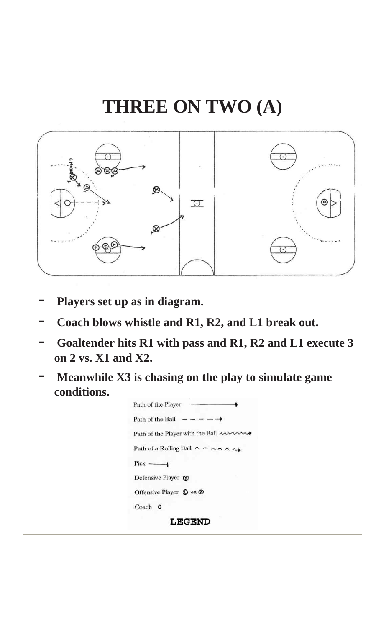### **THREE ON TWO (A)**



- **Players set up as in diagram.**
- **Coach blows whistle and R1, R2, and L1 break out.**
- **Goaltender hits R1 with pass and R1, R2 and L1 execute 3 on 2 vs. X1 and X2.**
- **Meanwhile X3 is chasing on the play to simulate game conditions.**